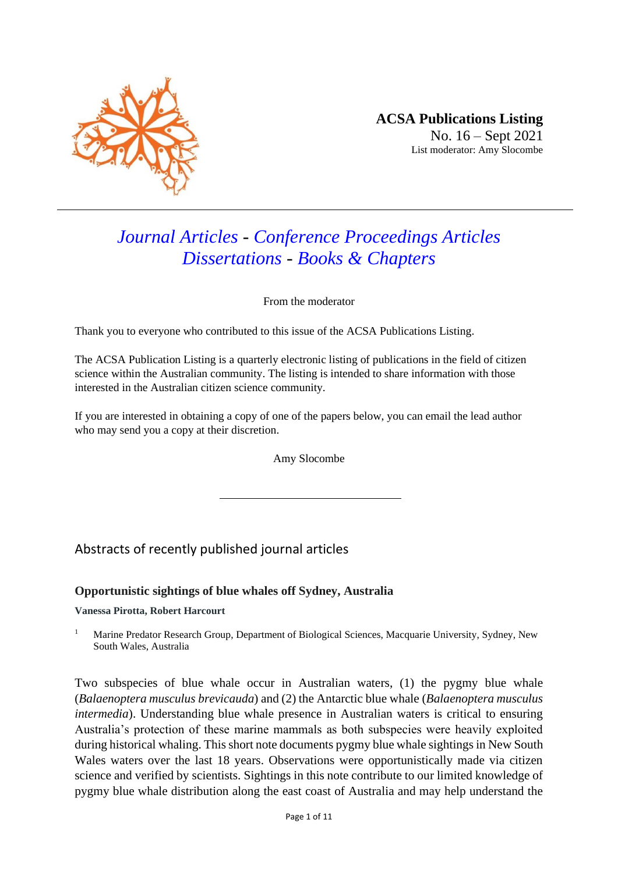

# *Journal Articles - Conference Proceedings Articles Dissertations - Books & Chapters*

From the moderator

Thank you to everyone who contributed to this issue of the ACSA Publications Listing.

The ACSA Publication Listing is a quarterly electronic listing of publications in the field of citizen science within the Australian community. The listing is intended to share information with those interested in the Australian citizen science community.

If you are interested in obtaining a copy of one of the papers below, you can email the lead author who may send you a copy at their discretion.

Amy Slocombe

## Abstracts of recently published journal articles

#### **Opportunistic sightings of blue whales off Sydney, Australia**

#### **Vanessa Pirotta, Robert Harcourt**

<sup>1</sup> Marine Predator Research Group, Department of Biological Sciences, Macquarie University, Sydney, New South Wales, Australia

Two subspecies of blue whale occur in Australian waters, (1) the pygmy blue whale (*Balaenoptera musculus brevicauda*) and (2) the Antarctic blue whale (*Balaenoptera musculus intermedia*). Understanding blue whale presence in Australian waters is critical to ensuring Australia's protection of these marine mammals as both subspecies were heavily exploited during historical whaling. This short note documents pygmy blue whale sightings in New South Wales waters over the last 18 years. Observations were opportunistically made via citizen science and verified by scientists. Sightings in this note contribute to our limited knowledge of pygmy blue whale distribution along the east coast of Australia and may help understand the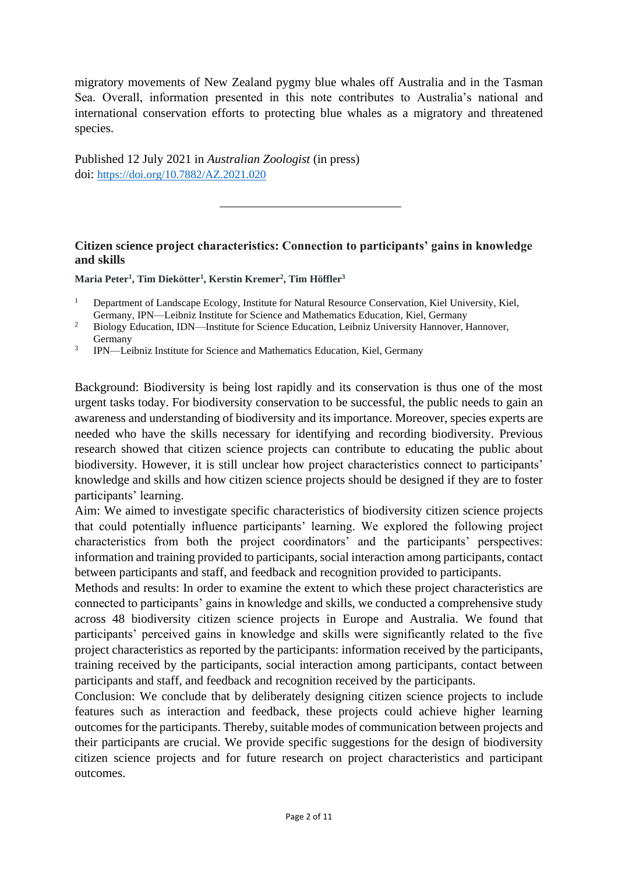migratory movements of New Zealand pygmy blue whales off Australia and in the Tasman Sea. Overall, information presented in this note contributes to Australia's national and international conservation efforts to protecting blue whales as a migratory and threatened species.

Published 12 July 2021 in *Australian Zoologist* (in press) doi: <https://doi.org/10.7882/AZ.2021.020>

## **Citizen science project characteristics: Connection to participants' gains in knowledge and skills**

**Maria Peter<sup>1</sup> , Tim Diekötter<sup>1</sup> , Kerstin Kremer<sup>2</sup> , Tim Höffler<sup>3</sup>**

3 IPN—Leibniz Institute for Science and Mathematics Education, Kiel, Germany

Background: Biodiversity is being lost rapidly and its conservation is thus one of the most urgent tasks today. For biodiversity conservation to be successful, the public needs to gain an awareness and understanding of biodiversity and its importance. Moreover, species experts are needed who have the skills necessary for identifying and recording biodiversity. Previous research showed that citizen science projects can contribute to educating the public about biodiversity. However, it is still unclear how project characteristics connect to participants' knowledge and skills and how citizen science projects should be designed if they are to foster participants' learning.

Aim: We aimed to investigate specific characteristics of biodiversity citizen science projects that could potentially influence participants' learning. We explored the following project characteristics from both the project coordinators' and the participants' perspectives: information and training provided to participants, social interaction among participants, contact between participants and staff, and feedback and recognition provided to participants.

Methods and results: In order to examine the extent to which these project characteristics are connected to participants' gains in knowledge and skills, we conducted a comprehensive study across 48 biodiversity citizen science projects in Europe and Australia. We found that participants' perceived gains in knowledge and skills were significantly related to the five project characteristics as reported by the participants: information received by the participants, training received by the participants, social interaction among participants, contact between participants and staff, and feedback and recognition received by the participants.

Conclusion: We conclude that by deliberately designing citizen science projects to include features such as interaction and feedback, these projects could achieve higher learning outcomes for the participants. Thereby, suitable modes of communication between projects and their participants are crucial. We provide specific suggestions for the design of biodiversity citizen science projects and for future research on project characteristics and participant outcomes.

<sup>&</sup>lt;sup>1</sup> Department of Landscape Ecology, Institute for Natural Resource Conservation, Kiel University, Kiel, Germany, IPN—Leibniz Institute for Science and Mathematics Education, Kiel, Germany

<sup>&</sup>lt;sup>2</sup> Biology Education, IDN—Institute for Science Education, Leibniz University Hannover, Hannover, Germany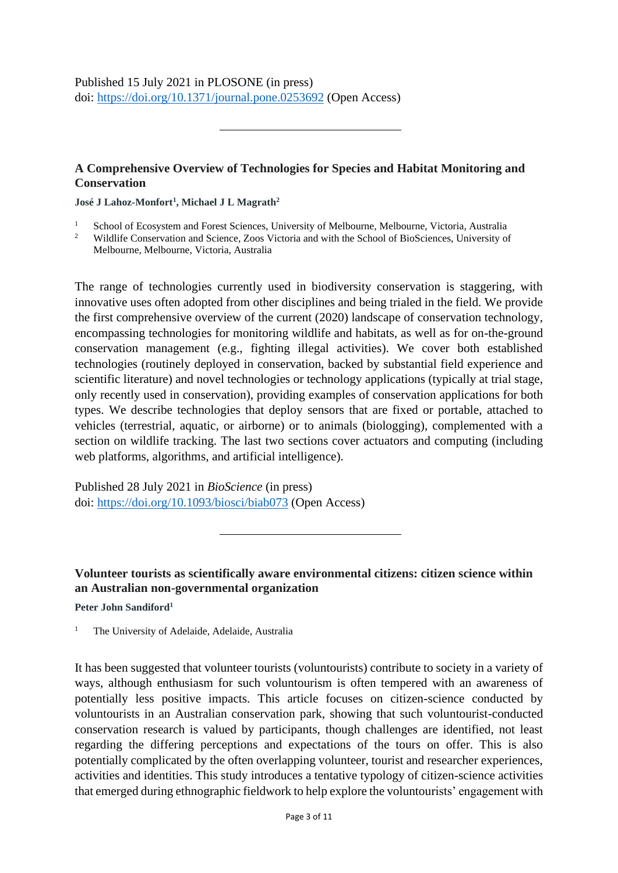Published 15 July 2021 in PLOSONE (in press) doi: <https://doi.org/10.1371/journal.pone.0253692> (Open Access)

### **A Comprehensive Overview of Technologies for Species and Habitat Monitoring and Conservation**

**José J Lahoz-Monfort<sup>1</sup> , Michael J L Magrath<sup>2</sup>**

- <sup>1</sup> School of Ecosystem and Forest Sciences, University of Melbourne, Melbourne, Victoria, Australia
- <sup>2</sup> Wildlife Conservation and Science, Zoos Victoria and with the School of BioSciences, University of Melbourne, Melbourne, Victoria, Australia

The range of technologies currently used in biodiversity conservation is staggering, with innovative uses often adopted from other disciplines and being trialed in the field. We provide the first comprehensive overview of the current (2020) landscape of conservation technology, encompassing technologies for monitoring wildlife and habitats, as well as for on-the-ground conservation management (e.g., fighting illegal activities). We cover both established technologies (routinely deployed in conservation, backed by substantial field experience and scientific literature) and novel technologies or technology applications (typically at trial stage, only recently used in conservation), providing examples of conservation applications for both types. We describe technologies that deploy sensors that are fixed or portable, attached to vehicles (terrestrial, aquatic, or airborne) or to animals (biologging), complemented with a section on wildlife tracking. The last two sections cover actuators and computing (including web platforms, algorithms, and artificial intelligence).

Published 28 July 2021 in *BioScience* (in press) doi: <https://doi.org/10.1093/biosci/biab073> (Open Access)

## **Volunteer tourists as scientifically aware environmental citizens: citizen science within an Australian non-governmental organization**

**Peter John Sandiford<sup>1</sup>**

<sup>1</sup> The University of Adelaide, Adelaide, Australia

It has been suggested that volunteer tourists (voluntourists) contribute to society in a variety of ways, although enthusiasm for such voluntourism is often tempered with an awareness of potentially less positive impacts. This article focuses on citizen-science conducted by voluntourists in an Australian conservation park, showing that such voluntourist-conducted conservation research is valued by participants, though challenges are identified, not least regarding the differing perceptions and expectations of the tours on offer. This is also potentially complicated by the often overlapping volunteer, tourist and researcher experiences, activities and identities. This study introduces a tentative typology of citizen-science activities that emerged during ethnographic fieldwork to help explore the voluntourists' engagement with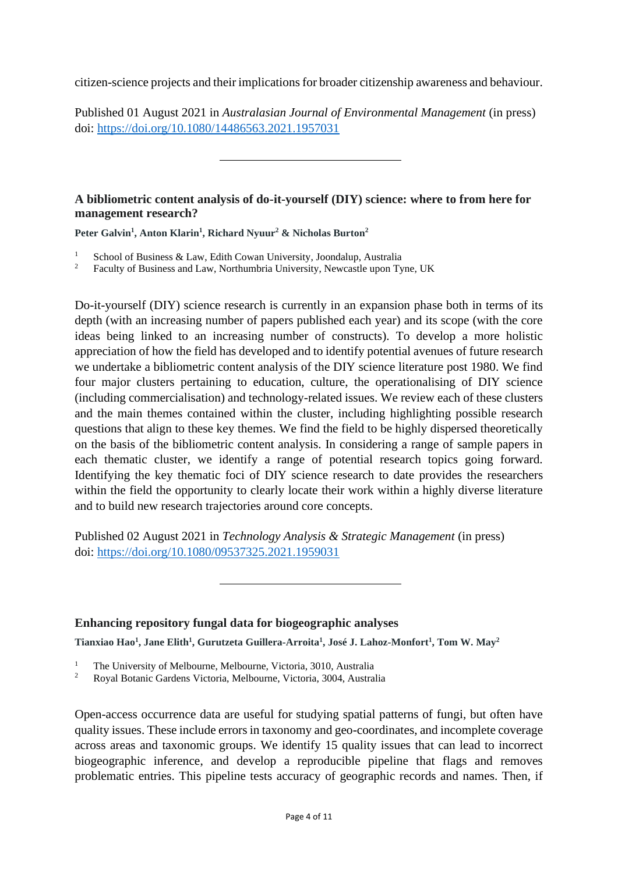citizen-science projects and their implications for broader citizenship awareness and behaviour.

Published 01 August 2021 in *Australasian Journal of Environmental Management* (in press) doi: <https://doi.org/10.1080/14486563.2021.1957031>

#### **A bibliometric content analysis of do-it-yourself (DIY) science: where to from here for management research?**

**Peter Galvin<sup>1</sup> , Anton Klarin<sup>1</sup> , Richard Nyuur<sup>2</sup> & Nicholas Burton<sup>2</sup>**

- <sup>1</sup> School of Business & Law, Edith Cowan University, Joondalup, Australia<sup>2</sup> Eaculty of Business and Law, Northumbria University, Newcastle upon Ty
- <sup>2</sup> Faculty of Business and Law, Northumbria University, Newcastle upon Tyne, UK

Do-it-yourself (DIY) science research is currently in an expansion phase both in terms of its depth (with an increasing number of papers published each year) and its scope (with the core ideas being linked to an increasing number of constructs). To develop a more holistic appreciation of how the field has developed and to identify potential avenues of future research we undertake a bibliometric content analysis of the DIY science literature post 1980. We find four major clusters pertaining to education, culture, the operationalising of DIY science (including commercialisation) and technology-related issues. We review each of these clusters and the main themes contained within the cluster, including highlighting possible research questions that align to these key themes. We find the field to be highly dispersed theoretically on the basis of the bibliometric content analysis. In considering a range of sample papers in each thematic cluster, we identify a range of potential research topics going forward. Identifying the key thematic foci of DIY science research to date provides the researchers within the field the opportunity to clearly locate their work within a highly diverse literature and to build new research trajectories around core concepts.

Published 02 August 2021 in *Technology Analysis & Strategic Management* (in press) doi: <https://doi.org/10.1080/09537325.2021.1959031>

## **Enhancing repository fungal data for biogeographic analyses**

**Tianxiao Hao<sup>1</sup> , Jane Elith<sup>1</sup> , Gurutzeta Guillera-Arroita<sup>1</sup> , José J. Lahoz-Monfort<sup>1</sup> , Tom W. May<sup>2</sup>**

- <sup>1</sup> The University of Melbourne, Melbourne, Victoria, 3010, Australia<br><sup>2</sup> Pousl Peteric Gardans Victoria, Melbourne, Victoria, 2004, Australia
- <sup>2</sup> Royal Botanic Gardens Victoria, Melbourne, Victoria, 3004, Australia

Open-access occurrence data are useful for studying spatial patterns of fungi, but often have quality issues. These include errors in taxonomy and geo-coordinates, and incomplete coverage across areas and taxonomic groups. We identify 15 quality issues that can lead to incorrect biogeographic inference, and develop a reproducible pipeline that flags and removes problematic entries. This pipeline tests accuracy of geographic records and names. Then, if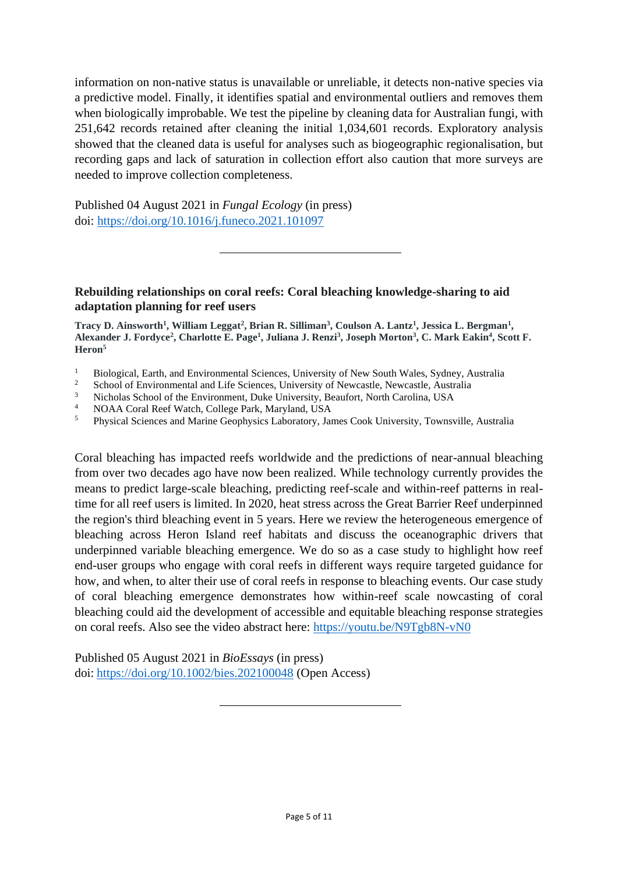information on non-native status is unavailable or unreliable, it detects non-native species via a predictive model. Finally, it identifies spatial and environmental outliers and removes them when biologically improbable. We test the pipeline by cleaning data for Australian fungi, with 251,642 records retained after cleaning the initial 1,034,601 records. Exploratory analysis showed that the cleaned data is useful for analyses such as biogeographic regionalisation, but recording gaps and lack of saturation in collection effort also caution that more surveys are needed to improve collection completeness.

Published 04 August 2021 in *Fungal Ecology* (in press) doi: <https://doi.org/10.1016/j.funeco.2021.101097>

#### **Rebuilding relationships on coral reefs: Coral bleaching knowledge-sharing to aid adaptation planning for reef users**

**Tracy D. Ainsworth<sup>1</sup> , William Leggat<sup>2</sup> , Brian R. Silliman<sup>3</sup> , Coulson A. Lantz<sup>1</sup> , Jessica L. Bergman<sup>1</sup> , Alexander J. Fordyce<sup>2</sup> , Charlotte E. Page<sup>1</sup> , Juliana J. Renzi<sup>3</sup> , Joseph Morton<sup>3</sup> , C. Mark Eakin<sup>4</sup> , Scott F. Heron<sup>5</sup>**

- <sup>1</sup> Biological, Earth, and Environmental Sciences, University of New South Wales, Sydney, Australia
- <sup>2</sup> School of Environmental and Life Sciences, University of Newcastle, Newcastle, Australia<br><sup>3</sup> Nicholas School of the Environment, Duke University, Beaufort, North Carolina, USA
- <sup>3</sup> Nicholas School of the Environment, Duke University, Beaufort, North Carolina, USA<br><sup>4</sup> NOA A Carol Boof Watch, Collage Bork, Maryland, USA
- <sup>4</sup> NOAA Coral Reef Watch, College Park, Maryland, USA
- <sup>5</sup> Physical Sciences and Marine Geophysics Laboratory, James Cook University, Townsville, Australia

Coral bleaching has impacted reefs worldwide and the predictions of near-annual bleaching from over two decades ago have now been realized. While technology currently provides the means to predict large-scale bleaching, predicting reef-scale and within-reef patterns in realtime for all reef users is limited. In 2020, heat stress across the Great Barrier Reef underpinned the region's third bleaching event in 5 years. Here we review the heterogeneous emergence of bleaching across Heron Island reef habitats and discuss the oceanographic drivers that underpinned variable bleaching emergence. We do so as a case study to highlight how reef end-user groups who engage with coral reefs in different ways require targeted guidance for how, and when, to alter their use of coral reefs in response to bleaching events. Our case study of coral bleaching emergence demonstrates how within-reef scale nowcasting of coral bleaching could aid the development of accessible and equitable bleaching response strategies on coral reefs. Also see the video abstract here:<https://youtu.be/N9Tgb8N-vN0>

Published 05 August 2021 in *BioEssays* (in press) doi: <https://doi.org/10.1002/bies.202100048> (Open Access)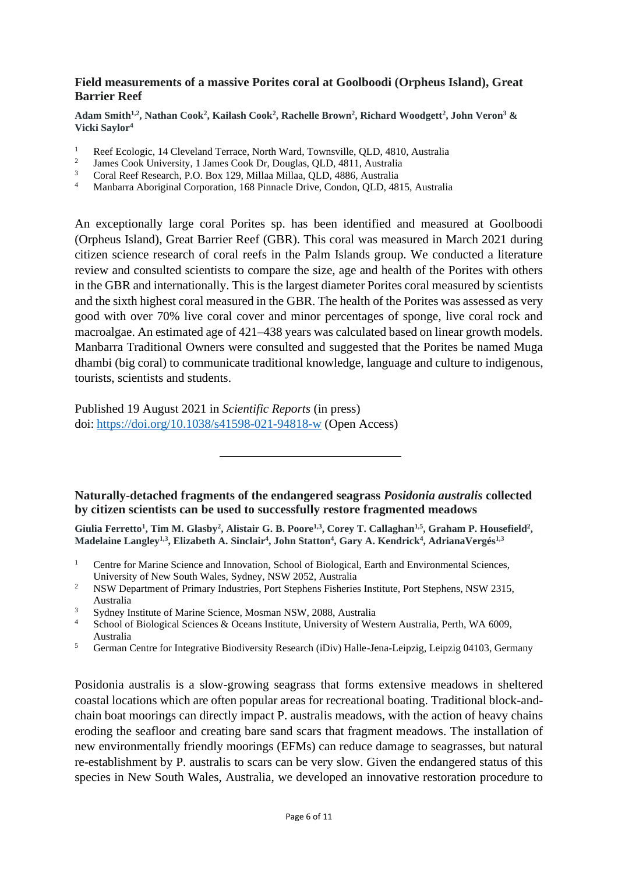#### **Field measurements of a massive Porites coral at Goolboodi (Orpheus Island), Great Barrier Reef**

**Adam Smith1,2, Nathan Cook<sup>2</sup> , Kailash Cook<sup>2</sup> , Rachelle Brown<sup>2</sup> , Richard Woodgett<sup>2</sup> , John Veron<sup>3</sup> & Vicki Saylor<sup>4</sup>**

- <sup>1</sup> Reef Ecologic, 14 Cleveland Terrace, North Ward, Townsville, QLD, 4810, Australia
- 2 James Cook University, 1 James Cook Dr, Douglas, QLD, 4811, Australia
- <sup>3</sup> Coral Reef Research, P.O. Box 129, Millaa Millaa, QLD, 4886, Australia
- <sup>4</sup> Manbarra Aboriginal Corporation, 168 Pinnacle Drive, Condon, QLD, 4815, Australia

An exceptionally large coral Porites sp. has been identified and measured at Goolboodi (Orpheus Island), Great Barrier Reef (GBR). This coral was measured in March 2021 during citizen science research of coral reefs in the Palm Islands group. We conducted a literature review and consulted scientists to compare the size, age and health of the Porites with others in the GBR and internationally. This is the largest diameter Porites coral measured by scientists and the sixth highest coral measured in the GBR. The health of the Porites was assessed as very good with over 70% live coral cover and minor percentages of sponge, live coral rock and macroalgae. An estimated age of 421–438 years was calculated based on linear growth models. Manbarra Traditional Owners were consulted and suggested that the Porites be named Muga dhambi (big coral) to communicate traditional knowledge, language and culture to indigenous, tourists, scientists and students.

Published 19 August 2021 in *Scientific Reports* (in press) doi: <https://doi.org/10.1038/s41598-021-94818-w> (Open Access)

### **Naturally-detached fragments of the endangered seagrass** *Posidonia australis* **collected by citizen scientists can be used to successfully restore fragmented meadows**

Giulia Ferretto<sup>1</sup>, Tim M. Glasby<sup>2</sup>, Alistair G. B. Poore<sup>1,3</sup>, Corey T. Callaghan<sup>1,5</sup>, Graham P. Housefield<sup>2</sup>, **Madelaine Langley1,3 , Elizabeth A. Sinclair<sup>4</sup> , John Statton<sup>4</sup> , Gary A. Kendrick<sup>4</sup> , AdrianaVergés1,3**

- <sup>1</sup> Centre for Marine Science and Innovation, School of Biological, Earth and Environmental Sciences, University of New South Wales, Sydney, NSW 2052, Australia
- <sup>2</sup> NSW Department of Primary Industries, Port Stephens Fisheries Institute, Port Stephens, NSW 2315, Australia
- <sup>3</sup> Sydney Institute of Marine Science, Mosman NSW, 2088, Australia
- <sup>4</sup> School of Biological Sciences & Oceans Institute, University of Western Australia, Perth, WA 6009, Australia
- <sup>5</sup> German Centre for Integrative Biodiversity Research (iDiv) Halle-Jena-Leipzig, Leipzig 04103, Germany

Posidonia australis is a slow-growing seagrass that forms extensive meadows in sheltered coastal locations which are often popular areas for recreational boating. Traditional block-andchain boat moorings can directly impact P. australis meadows, with the action of heavy chains eroding the seafloor and creating bare sand scars that fragment meadows. The installation of new environmentally friendly moorings (EFMs) can reduce damage to seagrasses, but natural re-establishment by P. australis to scars can be very slow. Given the endangered status of this species in New South Wales, Australia, we developed an innovative restoration procedure to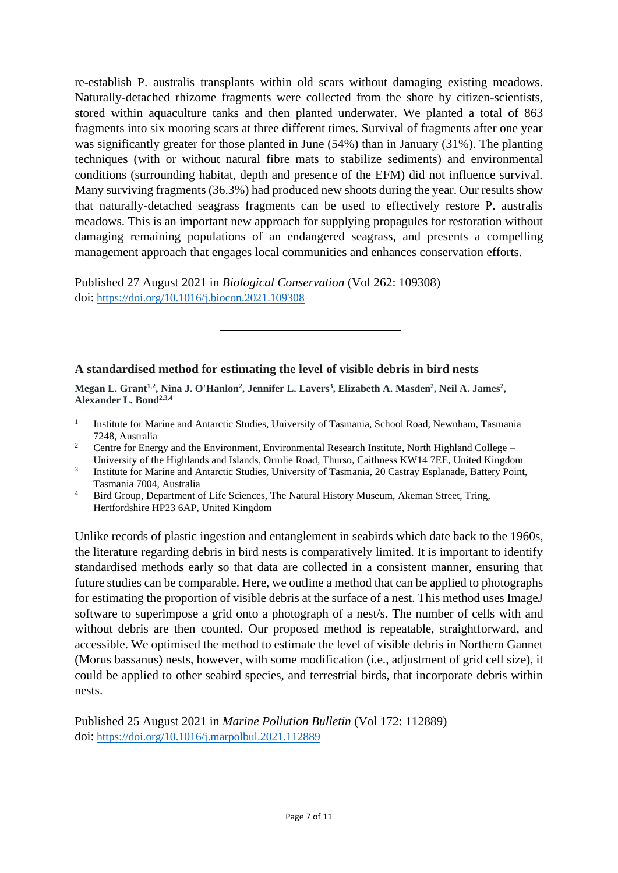re-establish P. australis transplants within old scars without damaging existing meadows. Naturally-detached rhizome fragments were collected from the shore by citizen-scientists, stored within aquaculture tanks and then planted underwater. We planted a total of 863 fragments into six mooring scars at three different times. Survival of fragments after one year was significantly greater for those planted in June (54%) than in January (31%). The planting techniques (with or without natural fibre mats to stabilize sediments) and environmental conditions (surrounding habitat, depth and presence of the EFM) did not influence survival. Many surviving fragments (36.3%) had produced new shoots during the year. Our results show that naturally-detached seagrass fragments can be used to effectively restore P. australis meadows. This is an important new approach for supplying propagules for restoration without damaging remaining populations of an endangered seagrass, and presents a compelling management approach that engages local communities and enhances conservation efforts.

Published 27 August 2021 in *Biological Conservation* (Vol 262: 109308) doi: <https://doi.org/10.1016/j.biocon.2021.109308>

### **A standardised method for estimating the level of visible debris in bird nests**

**Megan L. Grant1,2 , Nina J. O'Hanlon<sup>2</sup> , Jennifer L. Lavers<sup>3</sup> , Elizabeth A. Masden<sup>2</sup> , Neil A. James<sup>2</sup> , Alexander L. Bond2,3,4**

- 1 Institute for Marine and Antarctic Studies, University of Tasmania, School Road, Newnham, Tasmania 7248, Australia
- <sup>2</sup> Centre for Energy and the Environment, Environmental Research Institute, North Highland College University of the Highlands and Islands, Ormlie Road, Thurso, Caithness KW14 7EE, United Kingdom
- 3 Institute for Marine and Antarctic Studies, University of Tasmania, 20 Castray Esplanade, Battery Point, Tasmania 7004, Australia
- <sup>4</sup> Bird Group, Department of Life Sciences, The Natural History Museum, Akeman Street, Tring, Hertfordshire HP23 6AP, United Kingdom

Unlike records of plastic ingestion and entanglement in seabirds which date back to the 1960s, the literature regarding debris in bird nests is comparatively limited. It is important to identify standardised methods early so that data are collected in a consistent manner, ensuring that future studies can be comparable. Here, we outline a method that can be applied to photographs for estimating the proportion of visible debris at the surface of a nest. This method uses ImageJ software to superimpose a grid onto a photograph of a nest/s. The number of cells with and without debris are then counted. Our proposed method is repeatable, straightforward, and accessible. We optimised the method to estimate the level of visible debris in Northern Gannet (Morus bassanus) nests, however, with some modification (i.e., adjustment of grid cell size), it could be applied to other seabird species, and terrestrial birds, that incorporate debris within nests.

Published 25 August 2021 in *Marine Pollution Bulletin* (Vol 172: 112889) doi: <https://doi.org/10.1016/j.marpolbul.2021.112889>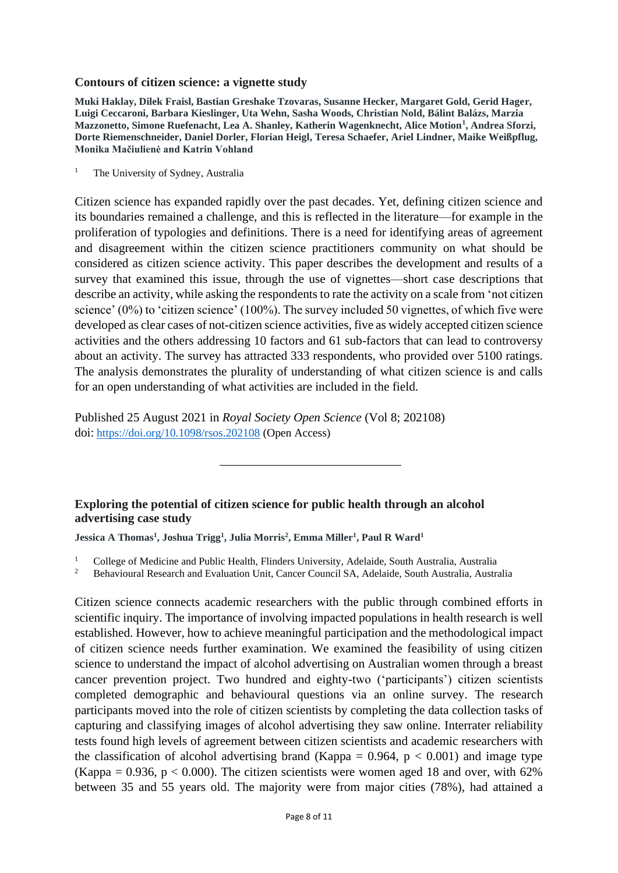#### **Contours of citizen science: a vignette study**

**Muki Haklay, Dilek Fraisl, Bastian Greshake Tzovaras, Susanne Hecker, Margaret Gold, Gerid Hager, Luigi Ceccaroni, Barbara Kieslinger, Uta Wehn, Sasha Woods, Christian Nold, Bálint Balázs, Marzia Mazzonetto, Simone Ruefenacht, Lea A. Shanley, Katherin Wagenknecht, Alice Motion<sup>1</sup> , Andrea Sforzi, Dorte Riemenschneider, Daniel Dorler, Florian Heigl, Teresa Schaefer, Ariel Lindner, Maike Weißpflug, Monika Mačiulienė and Katrin Vohland**

<sup>1</sup> The University of Sydney, Australia

Citizen science has expanded rapidly over the past decades. Yet, defining citizen science and its boundaries remained a challenge, and this is reflected in the literature—for example in the proliferation of typologies and definitions. There is a need for identifying areas of agreement and disagreement within the citizen science practitioners community on what should be considered as citizen science activity. This paper describes the development and results of a survey that examined this issue, through the use of vignettes—short case descriptions that describe an activity, while asking the respondents to rate the activity on a scale from 'not citizen science' (0%) to 'citizen science' (100%). The survey included 50 vignettes, of which five were developed as clear cases of not-citizen science activities, five as widely accepted citizen science activities and the others addressing 10 factors and 61 sub-factors that can lead to controversy about an activity. The survey has attracted 333 respondents, who provided over 5100 ratings. The analysis demonstrates the plurality of understanding of what citizen science is and calls for an open understanding of what activities are included in the field.

Published 25 August 2021 in *Royal Society Open Science* (Vol 8; 202108) doi: <https://doi.org/10.1098/rsos.202108> (Open Access)

**Exploring the potential of citizen science for public health through an alcohol advertising case study**

**Jessica A Thomas<sup>1</sup> , Joshua Trigg<sup>1</sup> , Julia Morris<sup>2</sup> , Emma Miller<sup>1</sup> , Paul R Ward<sup>1</sup>**

<sup>1</sup> College of Medicine and Public Health, Flinders University, Adelaide, South Australia, Australia<br><sup>2</sup> Behavioural Basearch and Evaluation Unit Cancer Council SA, Adelaide, South Australia, Australia

<sup>2</sup> Behavioural Research and Evaluation Unit, Cancer Council SA, Adelaide, South Australia, Australia

Citizen science connects academic researchers with the public through combined efforts in scientific inquiry. The importance of involving impacted populations in health research is well established. However, how to achieve meaningful participation and the methodological impact of citizen science needs further examination. We examined the feasibility of using citizen science to understand the impact of alcohol advertising on Australian women through a breast cancer prevention project. Two hundred and eighty-two ('participants') citizen scientists completed demographic and behavioural questions via an online survey. The research participants moved into the role of citizen scientists by completing the data collection tasks of capturing and classifying images of alcohol advertising they saw online. Interrater reliability tests found high levels of agreement between citizen scientists and academic researchers with the classification of alcohol advertising brand (Kappa =  $0.964$ ,  $p < 0.001$ ) and image type (Kappa = 0.936,  $p < 0.000$ ). The citizen scientists were women aged 18 and over, with 62% between 35 and 55 years old. The majority were from major cities (78%), had attained a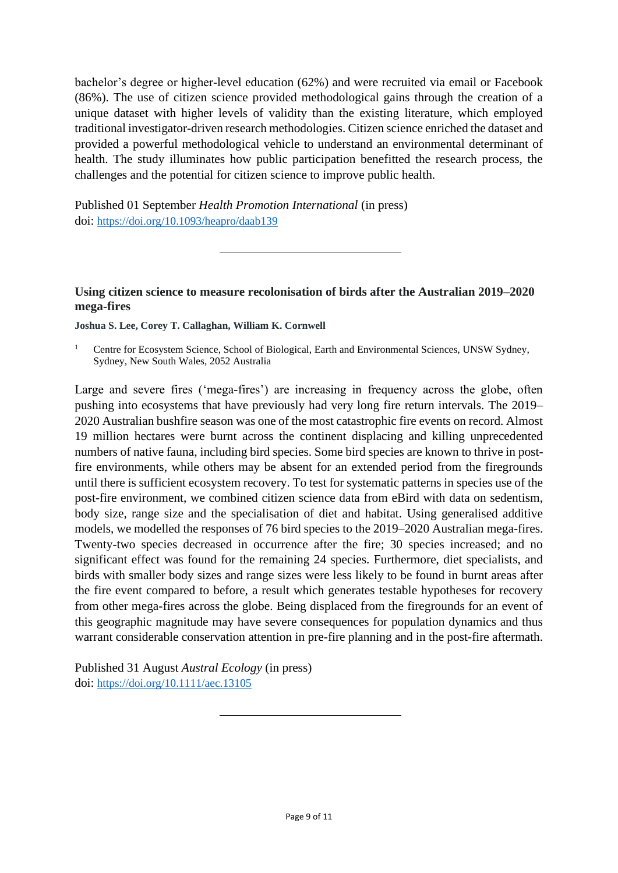bachelor's degree or higher-level education (62%) and were recruited via email or Facebook (86%). The use of citizen science provided methodological gains through the creation of a unique dataset with higher levels of validity than the existing literature, which employed traditional investigator-driven research methodologies. Citizen science enriched the dataset and provided a powerful methodological vehicle to understand an environmental determinant of health. The study illuminates how public participation benefitted the research process, the challenges and the potential for citizen science to improve public health.

Published 01 September *Health Promotion International* (in press) doi: <https://doi.org/10.1093/heapro/daab139>

### **Using citizen science to measure recolonisation of birds after the Australian 2019–2020 mega-fires**

**Joshua S. Lee, Corey T. Callaghan, William K. Cornwell**

Large and severe fires ('mega-fires') are increasing in frequency across the globe, often pushing into ecosystems that have previously had very long fire return intervals. The 2019– 2020 Australian bushfire season was one of the most catastrophic fire events on record. Almost 19 million hectares were burnt across the continent displacing and killing unprecedented numbers of native fauna, including bird species. Some bird species are known to thrive in postfire environments, while others may be absent for an extended period from the firegrounds until there is sufficient ecosystem recovery. To test for systematic patterns in species use of the post-fire environment, we combined citizen science data from eBird with data on sedentism, body size, range size and the specialisation of diet and habitat. Using generalised additive models, we modelled the responses of 76 bird species to the 2019–2020 Australian mega-fires. Twenty-two species decreased in occurrence after the fire; 30 species increased; and no significant effect was found for the remaining 24 species. Furthermore, diet specialists, and birds with smaller body sizes and range sizes were less likely to be found in burnt areas after the fire event compared to before, a result which generates testable hypotheses for recovery from other mega-fires across the globe. Being displaced from the firegrounds for an event of this geographic magnitude may have severe consequences for population dynamics and thus warrant considerable conservation attention in pre-fire planning and in the post-fire aftermath.

Published 31 August *Austral Ecology* (in press) doi: <https://doi.org/10.1111/aec.13105>

<sup>&</sup>lt;sup>1</sup> Centre for Ecosystem Science, School of Biological, Earth and Environmental Sciences, UNSW Sydney, Sydney, New South Wales, 2052 Australia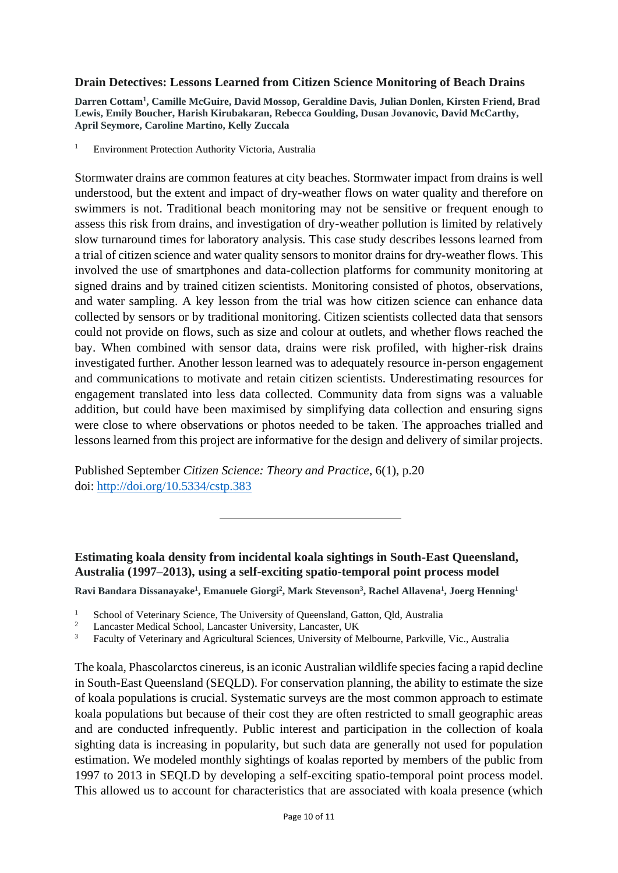#### **Drain Detectives: Lessons Learned from Citizen Science Monitoring of Beach Drains**

**Darren Cottam<sup>1</sup> , Camille McGuire, David Mossop, Geraldine Davis, Julian Donlen, Kirsten Friend, Brad Lewis, Emily Boucher, Harish Kirubakaran, Rebecca Goulding, Dusan Jovanovic, David McCarthy, April Seymore, Caroline Martino, Kelly Zuccala**

<sup>1</sup> Environment Protection Authority Victoria, Australia

Stormwater drains are common features at city beaches. Stormwater impact from drains is well understood, but the extent and impact of dry-weather flows on water quality and therefore on swimmers is not. Traditional beach monitoring may not be sensitive or frequent enough to assess this risk from drains, and investigation of dry-weather pollution is limited by relatively slow turnaround times for laboratory analysis. This case study describes lessons learned from a trial of citizen science and water quality sensors to monitor drains for dry-weather flows. This involved the use of smartphones and data-collection platforms for community monitoring at signed drains and by trained citizen scientists. Monitoring consisted of photos, observations, and water sampling. A key lesson from the trial was how citizen science can enhance data collected by sensors or by traditional monitoring. Citizen scientists collected data that sensors could not provide on flows, such as size and colour at outlets, and whether flows reached the bay. When combined with sensor data, drains were risk profiled, with higher-risk drains investigated further. Another lesson learned was to adequately resource in-person engagement and communications to motivate and retain citizen scientists. Underestimating resources for engagement translated into less data collected. Community data from signs was a valuable addition, but could have been maximised by simplifying data collection and ensuring signs were close to where observations or photos needed to be taken. The approaches trialled and lessons learned from this project are informative for the design and delivery of similar projects.

Published September *Citizen Science: Theory and Practice*, 6(1), p.20 doi: <http://doi.org/10.5334/cstp.383>

## **Estimating koala density from incidental koala sightings in South-East Queensland, Australia (1997–2013), using a self-exciting spatio-temporal point process model**

**Ravi Bandara Dissanayake<sup>1</sup> , Emanuele Giorgi<sup>2</sup> , Mark Stevenson<sup>3</sup> , Rachel Allavena<sup>1</sup> , Joerg Henning<sup>1</sup>**

- <sup>1</sup> School of Veterinary Science, The University of Queensland, Gatton, Qld, Australia<sup>2</sup>
- <sup>2</sup> Lancaster Medical School, Lancaster University, Lancaster, UK<br> $\frac{3}{2}$  Escultu of Meterinary and Agricultural Sciences, University of Meterinary
- <sup>3</sup> Faculty of Veterinary and Agricultural Sciences, University of Melbourne, Parkville, Vic., Australia

The koala, Phascolarctos cinereus, is an iconic Australian wildlife species facing a rapid decline in South-East Queensland (SEQLD). For conservation planning, the ability to estimate the size of koala populations is crucial. Systematic surveys are the most common approach to estimate koala populations but because of their cost they are often restricted to small geographic areas and are conducted infrequently. Public interest and participation in the collection of koala sighting data is increasing in popularity, but such data are generally not used for population estimation. We modeled monthly sightings of koalas reported by members of the public from 1997 to 2013 in SEQLD by developing a self-exciting spatio-temporal point process model. This allowed us to account for characteristics that are associated with koala presence (which